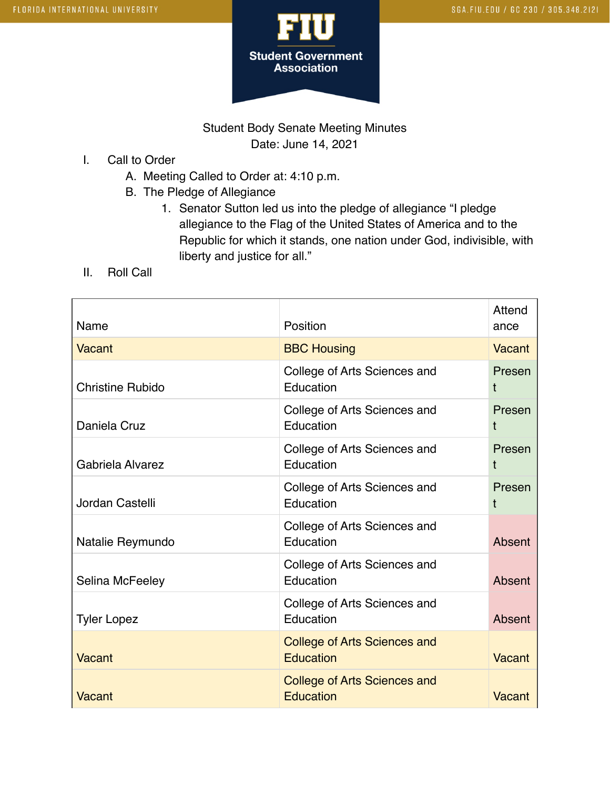

## Student Body Senate Meeting Minutes Date: June 14, 2021

- I. Call to Order
	- A. Meeting Called to Order at: 4:10 p.m.
	- B. The Pledge of Allegiance
		- 1. Senator Sutton led us into the pledge of allegiance "I pledge allegiance to the Flag of the United States of America and to the Republic for which it stands, one nation under God, indivisible, with liberty and justice for all."
- II. Roll Call

| Name                    | Position                                                | Attend<br>ance |
|-------------------------|---------------------------------------------------------|----------------|
| <b>Vacant</b>           | <b>BBC Housing</b>                                      | Vacant         |
| <b>Christine Rubido</b> | College of Arts Sciences and<br>Education               | Presen<br>t    |
| Daniela Cruz            | College of Arts Sciences and<br>Education               | Presen<br>t    |
| Gabriela Alvarez        | College of Arts Sciences and<br>Education               | Presen<br>t    |
| Jordan Castelli         | College of Arts Sciences and<br>Education               | Presen<br>t    |
| Natalie Reymundo        | College of Arts Sciences and<br>Education               | Absent         |
| Selina McFeeley         | College of Arts Sciences and<br>Education               | Absent         |
| <b>Tyler Lopez</b>      | College of Arts Sciences and<br>Education               | Absent         |
| <b>Vacant</b>           | <b>College of Arts Sciences and</b><br><b>Education</b> | Vacant         |
| Vacant                  | <b>College of Arts Sciences and</b><br>Education        | Vacant         |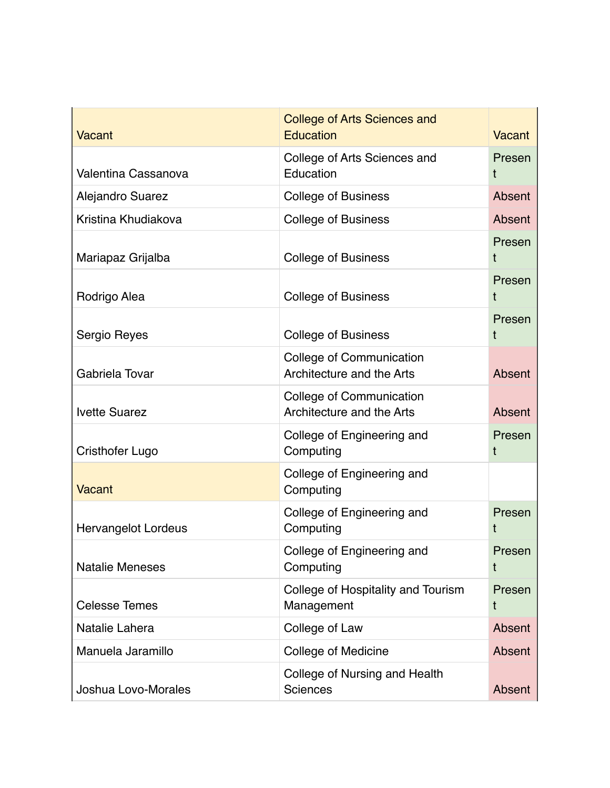| <b>Vacant</b>              | <b>College of Arts Sciences and</b><br>Education             | <b>Vacant</b> |
|----------------------------|--------------------------------------------------------------|---------------|
| Valentina Cassanova        | College of Arts Sciences and<br>Education                    | Presen<br>Ť   |
| Alejandro Suarez           | <b>College of Business</b>                                   | Absent        |
| Kristina Khudiakova        | <b>College of Business</b>                                   | Absent        |
| Mariapaz Grijalba          | <b>College of Business</b>                                   | Presen<br>t   |
| Rodrigo Alea               | <b>College of Business</b>                                   | Presen<br>t   |
| Sergio Reyes               | <b>College of Business</b>                                   | Presen<br>t   |
| Gabriela Tovar             | <b>College of Communication</b><br>Architecture and the Arts | Absent        |
| <b>Ivette Suarez</b>       | College of Communication<br>Architecture and the Arts        | Absent        |
| <b>Cristhofer Lugo</b>     | College of Engineering and<br>Computing                      | Presen<br>t   |
| Vacant                     | College of Engineering and<br>Computing                      |               |
| <b>Hervangelot Lordeus</b> | College of Engineering and<br>Computing                      | Presen<br>t   |
| <b>Natalie Meneses</b>     | College of Engineering and<br>Computing                      | Presen<br>t   |
| <b>Celesse Temes</b>       | College of Hospitality and Tourism<br>Management             | Presen<br>t   |
| Natalie Lahera             | College of Law                                               | Absent        |
| Manuela Jaramillo          | College of Medicine                                          | Absent        |
| Joshua Lovo-Morales        | College of Nursing and Health<br><b>Sciences</b>             | Absent        |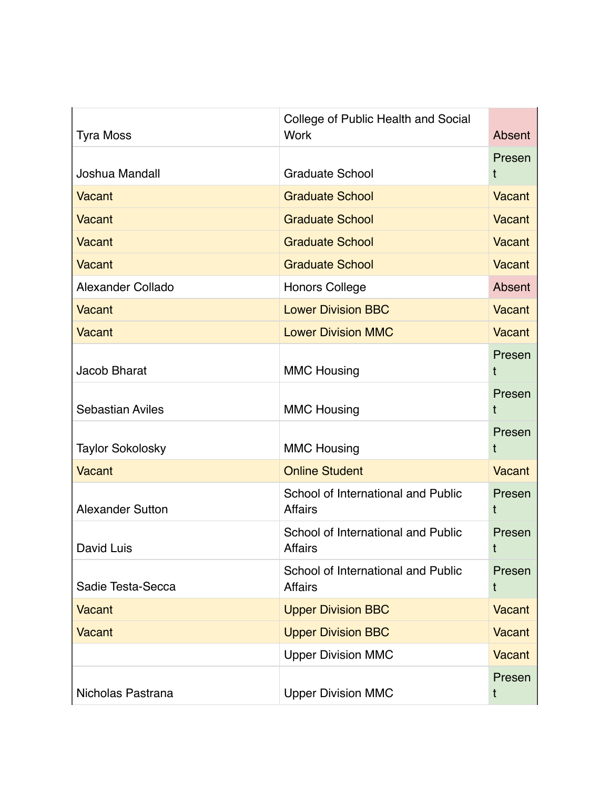| <b>Tyra Moss</b>        | College of Public Health and Social<br><b>Work</b>   | Absent        |
|-------------------------|------------------------------------------------------|---------------|
| Joshua Mandall          | <b>Graduate School</b>                               | Presen<br>t   |
|                         |                                                      |               |
| Vacant                  | <b>Graduate School</b>                               | <b>Vacant</b> |
| <b>Vacant</b>           | <b>Graduate School</b>                               | <b>Vacant</b> |
| <b>Vacant</b>           | <b>Graduate School</b>                               | <b>Vacant</b> |
| Vacant                  | <b>Graduate School</b>                               | <b>Vacant</b> |
| Alexander Collado       | <b>Honors College</b>                                | Absent        |
| Vacant                  | <b>Lower Division BBC</b>                            | <b>Vacant</b> |
| <b>Vacant</b>           | <b>Lower Division MMC</b>                            | <b>Vacant</b> |
| Jacob Bharat            | <b>MMC Housing</b>                                   | Presen<br>t   |
| <b>Sebastian Aviles</b> | <b>MMC Housing</b>                                   | Presen<br>t   |
| <b>Taylor Sokolosky</b> | <b>MMC Housing</b>                                   | Presen<br>t   |
| <b>Vacant</b>           | <b>Online Student</b>                                | <b>Vacant</b> |
| <b>Alexander Sutton</b> | School of International and Public<br><b>Affairs</b> | Presen<br>t   |
| David Luis              | School of International and Public<br><b>Affairs</b> | Presen<br>t   |
| Sadie Testa-Secca       | School of International and Public<br><b>Affairs</b> | Presen<br>t   |
| <b>Vacant</b>           | <b>Upper Division BBC</b>                            | Vacant        |
| <b>Vacant</b>           | <b>Upper Division BBC</b>                            | <b>Vacant</b> |
|                         | <b>Upper Division MMC</b>                            | <b>Vacant</b> |
| Nicholas Pastrana       | <b>Upper Division MMC</b>                            | Presen<br>t   |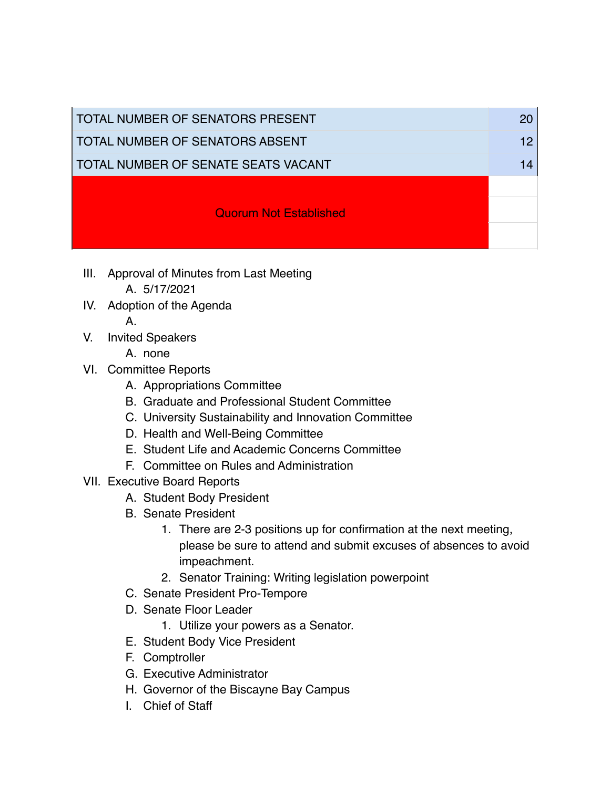| TOTAL NUMBER OF SENATORS PRESENT    |  |
|-------------------------------------|--|
| TOTAL NUMBER OF SENATORS ABSENT     |  |
| TOTAL NUMBER OF SENATE SEATS VACANT |  |
|                                     |  |
| <b>Quorum Not Established</b>       |  |
|                                     |  |

- III. Approval of Minutes from Last Meeting A. 5/17/2021
- IV. Adoption of the Agenda
	- A.
- V. Invited Speakers
	- A. none
- VI. Committee Reports
	- A. Appropriations Committee
	- B. Graduate and Professional Student Committee
	- C. University Sustainability and Innovation Committee
	- D. Health and Well-Being Committee
	- E. Student Life and Academic Concerns Committee
	- F. Committee on Rules and Administration
- VII. Executive Board Reports
	- A. Student Body President
	- B. Senate President
		- 1. There are 2-3 positions up for confirmation at the next meeting, please be sure to attend and submit excuses of absences to avoid impeachment.
		- 2. Senator Training: Writing legislation powerpoint
	- C. Senate President Pro-Tempore
	- D. Senate Floor Leader
		- 1. Utilize your powers as a Senator.
	- E. Student Body Vice President
	- F. Comptroller
	- G. Executive Administrator
	- H. Governor of the Biscayne Bay Campus
	- I. Chief of Staff